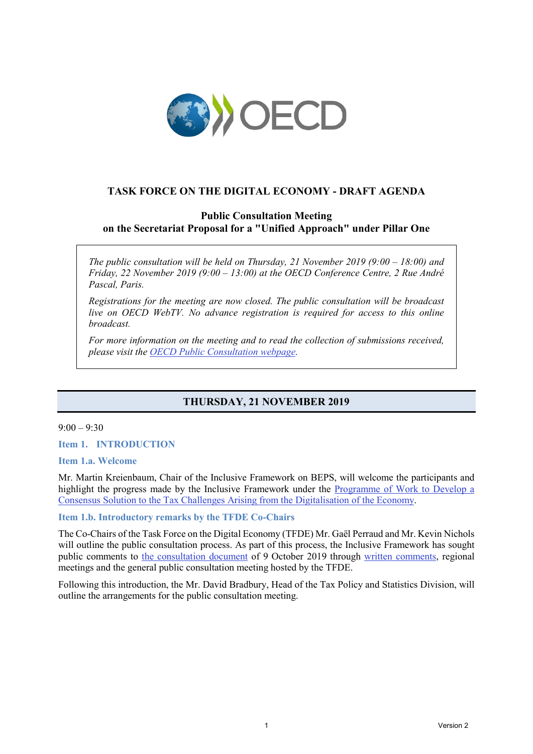

# **TASK FORCE ON THE DIGITAL ECONOMY - DRAFT AGENDA**

# **Public Consultation Meeting on the Secretariat Proposal for a "Unified Approach" under Pillar One**

*The public consultation will be held on Thursday, 21 November 2019 (9:00 – 18:00) and Friday, 22 November 2019 (9:00 – 13:00) at the OECD Conference Centre, 2 Rue André Pascal, Paris.* 

*Registrations for the meeting are now closed. The public consultation will be broadcast live on OECD WebTV. No advance registration is required for access to this online broadcast.* 

*For more information on the meeting and to read the collection of submissions received, please visit the [OECD Public Consultation webpage.](https://www.oecd.org/tax/beps/public-consultation-meeting-secretariat-proposal-unified-approach-pillar-one-21-22-november-2019.htm)* 

# **THURSDAY, 21 NOVEMBER 2019**

### $9:00 - 9:30$

**Item 1. INTRODUCTION**

#### **Item 1.a. Welcome**

Mr. Martin Kreienbaum, Chair of the Inclusive Framework on BEPS, will welcome the participants and highlight the progress made by the Inclusive Framework under the [Programme of Work to Develop a](https://www.oecd.org/tax/beps/programme-of-work-to-develop-a-consensus-solution-to-the-tax-challenges-arising-from-the-digitalisation-of-the-economy.pdf)  [Consensus Solution to the Tax Challenges Arising from the Digitalisation of the Economy.](https://www.oecd.org/tax/beps/programme-of-work-to-develop-a-consensus-solution-to-the-tax-challenges-arising-from-the-digitalisation-of-the-economy.pdf)

## **Item 1.b. Introductory remarks by the TFDE Co-Chairs**

The Co-Chairs of the Task Force on the Digital Economy (TFDE) Mr. Gaël Perraud and Mr. Kevin Nichols will outline the public consultation process. As part of this process, the Inclusive Framework has sought public comments to [the consultation document](https://www.oecd.org/tax/beps/public-consultation-document-secretariat-proposal-unified-approach-pillar-one.pdf) of 9 October 2019 through [written comments,](https://www.oecd.org/tax/beps/public-comments-received-on-the-possible-solutions-to-the-tax-challenges-of-digitalisation.htm) regional meetings and the general public consultation meeting hosted by the TFDE.

Following this introduction, the Mr. David Bradbury, Head of the Tax Policy and Statistics Division, will outline the arrangements for the public consultation meeting.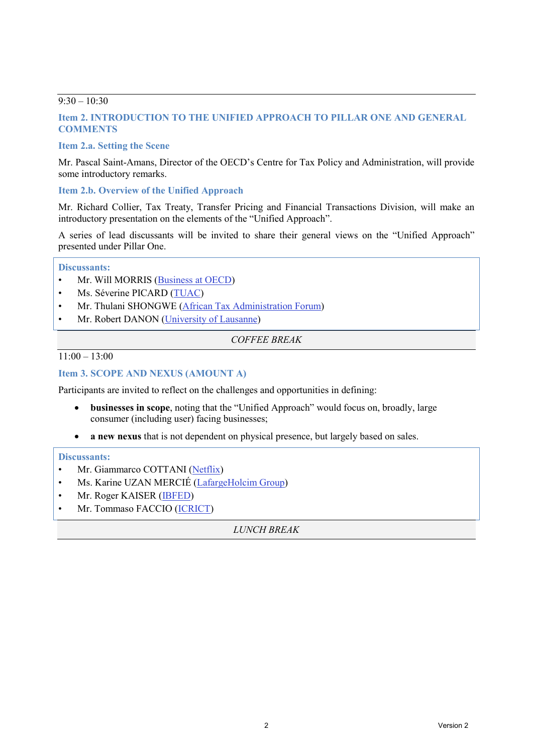## $9:30 - 10:30$

# **Item 2. INTRODUCTION TO THE UNIFIED APPROACH TO PILLAR ONE AND GENERAL COMMENTS**

# **Item 2.a. Setting the Scene**

Mr. Pascal Saint-Amans, Director of the OECD's Centre for Tax Policy and Administration, will provide some introductory remarks.

## **Item 2.b. Overview of the Unified Approach**

Mr. Richard Collier, Tax Treaty, Transfer Pricing and Financial Transactions Division, will make an introductory presentation on the elements of the "Unified Approach".

A series of lead discussants will be invited to share their general views on the "Unified Approach" presented under Pillar One.

### **Discussants:**

- Mr. Will MORRIS [\(Business at OECD\)](http://biac.org/)
- Ms. Séverine PICARD [\(TUAC\)](https://tuac.org/)
- Mr. Thulani SHONGWE [\(African Tax Administration Forum\)](https://www.ataftax.org/)
- Mr. Robert DANON [\(University of Lausanne\)](https://applicationspub.unil.ch/interpub/noauth/php/Un/UnPers.php?PerNum=1001288&LanCode=37)

### *COFFEE BREAK*

 $11:00 - 13:00$ 

# **Item 3. SCOPE AND NEXUS (AMOUNT A)**

Participants are invited to reflect on the challenges and opportunities in defining:

- **businesses in scope**, noting that the "Unified Approach" would focus on, broadly, large consumer (including user) facing businesses;
- **a new nexus** that is not dependent on physical presence, but largely based on sales.

#### **Discussants:**

- Mr. Giammarco COTTANI [\(Netflix\)](https://help.netflix.com/en/node/2101)
- Ms. Karine UZAN MERCIÉ [\(LafargeHolcim Group\)](https://www.lafargeholcim.com/)
- Mr. Roger KAISER [\(IBFED\)](http://www.ibfed.org.uk/)
- Mr. Tommaso FACCIO [\(ICRICT\)](https://www.icrict.com/https:/www.ataftax.org/)

*LUNCH BREAK*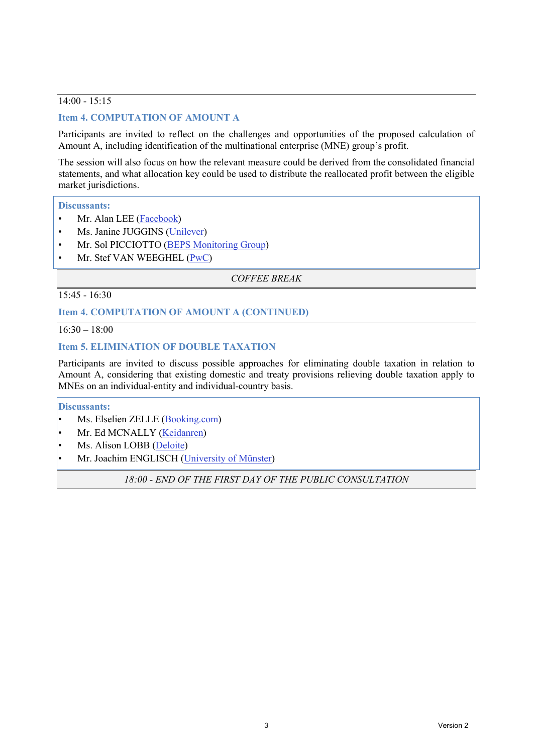# 14:00 - 15:15

# **Item 4. COMPUTATION OF AMOUNT A**

Participants are invited to reflect on the challenges and opportunities of the proposed calculation of Amount A, including identification of the multinational enterprise (MNE) group's profit.

The session will also focus on how the relevant measure could be derived from the consolidated financial statements, and what allocation key could be used to distribute the reallocated profit between the eligible market jurisdictions.

#### **Discussants:**

- Mr. Alan LEE [\(Facebook\)](https://about.fb.com/company-info/)
- Ms. Janine JUGGINS [\(Unilever\)](https://www.unilever.com/about/who-we-are/about-Unilever/)
- Mr. Sol PICCIOTTO [\(BEPS Monitoring Group\)](https://www.bepsmonitoringgroup.org/)
- Mr. Stef VAN WEEGHEL  $(PwC)$

*COFFEE BREAK*

15:45 - 16:30

## **Item 4. COMPUTATION OF AMOUNT A (CONTINUED)**

 $16:30 - 18:00$ 

### **Item 5. ELIMINATION OF DOUBLE TAXATION**

Participants are invited to discuss possible approaches for eliminating double taxation in relation to Amount A, considering that existing domestic and treaty provisions relieving double taxation apply to MNEs on an individual-entity and individual-country basis.

## **Discussants:**

- Ms. Elselien ZELLE [\(Booking.com\)](https://www.booking.com/content/about.html)
- Mr. Ed MCNALLY [\(Keidanren\)](https://www.keidanren.or.jp/en/)
- Ms. Alison LOBB [\(Deloite\)](http://www.deloite.com/)
- Mr. Joachim ENGLISCH [\(University of Münster\)](https://www.jura.uni-muenster.de/de/apps/personenliste/prof-dr-joachim-englisch/)

*18:00 - END OF THE FIRST DAY OF THE PUBLIC CONSULTATION*